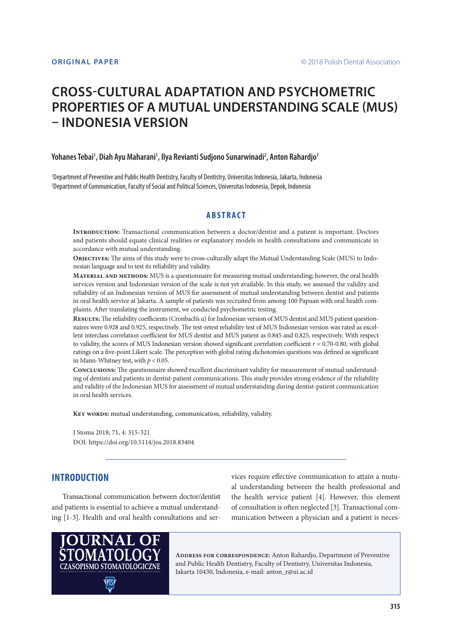# **CROSS-CULTURAL ADAPTATION AND PSYCHOMETRIC PROPERTIES OF A MUTUAL UNDERSTANDING SCALE (MUS) – INDONESIA VERSION**

### Yohanes Tebai<sup>1</sup>, Diah Ayu Maharani<sup>1</sup>, Ilya Revianti Sudjono Sunarwinadi<sup>2</sup>, Anton Rahardjo<sup>1</sup>

1 Department of Preventive and Public Health Dentistry, Faculty of Dentistry, Universitas Indonesia, Jakarta, Indonesia 2 Department of Communication, Faculty of Social and Political Sciences, Universitas Indonesia, Depok, Indonesia

### **ABSTRACT**

**Introduction:** Transactional communication between a doctor/dentist and a patient is important. Doctors and patients should equate clinical realities or explanatory models in health consultations and communicate in accordance with mutual understanding.

**Objectives:** The aims of this study were to cross-culturally adapt the Mutual Understanding Scale (MUS) to Indonesian language and to test its reliability and validity.

**Material and methods:** MUS is a questionnaire for measuring mutual understanding; however, the oral health services version and Indonesian version of the scale is not yet available. In this study, we assessed the validity and reliability of an Indonesian version of MUS for assessment of mutual understanding between dentist and patients in oral health service at Jakarta. A sample of patients was recruited from among 100 Papuan with oral health complaints. After translating the instrument, we conducted psychometric testing.

**Results:** The reliability coefficients (Cronbach's α) for Indonesian version of MUS dentist and MUS patient questionnaires were 0.928 and 0.925, respectively. The test-retest reliability test of MUS Indonesian version was rated as excellent interclass correlation coefficient for MUS dentist and MUS patient as 0.845 and 0.825, respectively. With respect to validity, the scores of MUS Indonesian version showed significant correlation coefficient *r* = 0.70-0.80, with global ratings on a five-point Likert scale. The perception with global rating dichotomies questions was defined as significant in Mann-Whitney test, with *p* < 0.05.

**Conclusions:** The questionnaire showed excellent discriminant validity for measurement of mutual understanding of dentists and patients in dentist-patient communications. This study provides strong evidence of the reliability and validity of the Indonesian MUS for assessment of mutual understanding during dentist-patient communication in oral health services.

**Key words:** mutual understanding, communication, reliability, validity.

J Stoma 2018; 71, 4: 315-321 DOI: https://doi.org/10.5114/jos.2018.83404

# **INTRODUCTION**

Transactional communication between doctor/dentist and patients is essential to achieve a mutual understanding [1-3]. Health and oral health consultations and services require effective communication to attain a mutual understanding between the health professional and the health service patient [4]. However, this element of consultation is often neglected [3]. Transactional communication between a physician and a patient is neces-



**Address for correspondence:** Anton Rahardjo, Department of Preventive and Public Health Dentistry, Faculty of Dentistry, Universitas Indonesia, The and Public Health Dentistry, Faculty of Dentistry, Indonesia, e-mail: anton\_r@ui.ac.id Jakarta 10430, Indonesia, e-mail: anton\_r@ui.ac.id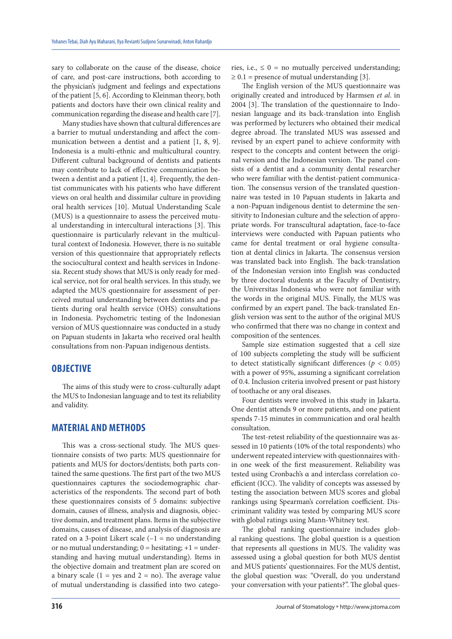sary to collaborate on the cause of the disease, choice of care, and post-care instructions, both according to the physician's judgment and feelings and expectations of the patient [5, 6]. According to Kleinman theory, both patients and doctors have their own clinical reality and communication regarding the disease and health care [7].

Many studies have shown that cultural differences are a barrier to mutual understanding and affect the communication between a dentist and a patient [1, 8, 9]. Indonesia is a multi-ethnic and multicultural country. Different cultural background of dentists and patients may contribute to lack of effective communication between a dentist and a patient [1, 4]. Frequently, the dentist communicates with his patients who have different views on oral health and dissimilar culture in providing oral health services [10]. Mutual Understanding Scale (MUS) is a questionnaire to assess the perceived mutual understanding in intercultural interactions [3]. This questionnaire is particularly relevant in the multicultural context of Indonesia. However, there is no suitable version of this questionnaire that appropriately reflects the sociocultural context and health services in Indonesia. Recent study shows that MUS is only ready for medical service, not for oral health services. In this study, we adapted the MUS questionnaire for assessment of perceived mutual understanding between dentists and patients during oral health service (OHS) consultations in Indonesia. Psychometric testing of the Indonesian version of MUS questionnaire was conducted in a study on Papuan students in Jakarta who received oral health consultations from non-Papuan indigenous dentists.

### **OBJECTIVE**

The aims of this study were to cross-culturally adapt the MUS to Indonesian language and to test its reliability and validity.

## **MATERIAL AND METHODS**

This was a cross-sectional study. The MUS questionnaire consists of two parts: MUS questionnaire for patients and MUS for doctors/dentists; both parts contained the same questions. The first part of the two MUS questionnaires captures the sociodemographic characteristics of the respondents. The second part of both these questionnaires consists of 5 domains: subjective domain, causes of illness, analysis and diagnosis, objective domain, and treatment plans. Items in the subjective domains, causes of disease, and analysis of diagnosis are rated on a 3-point Likert scale  $(-1)$  = no understanding or no mutual understanding;  $0 =$  hesitating;  $+1 =$  understanding and having mutual understanding). Items in the objective domain and treatment plan are scored on a binary scale  $(1 = yes \text{ and } 2 = no)$ . The average value of mutual understanding is classified into two categories, i.e.,  $\leq 0$  = no mutually perceived understanding;  $\geq 0.1$  = presence of mutual understanding [3].

The English version of the MUS questionnaire was originally created and introduced by Harmsen *et al*. in 2004 [3]. The translation of the questionnaire to Indonesian language and its back-translation into English was performed by lecturers who obtained their medical degree abroad. The translated MUS was assessed and revised by an expert panel to achieve conformity with respect to the concepts and content between the original version and the Indonesian version. The panel consists of a dentist and a community dental researcher who were familiar with the dentist-patient communication. The consensus version of the translated questionnaire was tested in 10 Papuan students in Jakarta and a non-Papuan indigenous dentist to determine the sensitivity to Indonesian culture and the selection of appropriate words. For transcultural adaptation, face-to-face interviews were conducted with Papuan patients who came for dental treatment or oral hygiene consultation at dental clinics in Jakarta. The consensus version was translated back into English. The back-translation of the Indonesian version into English was conducted by three doctoral students at the Faculty of Dentistry, the Universitas Indonesia who were not familiar with the words in the original MUS. Finally, the MUS was confirmed by an expert panel. The back-translated English version was sent to the author of the original MUS who confirmed that there was no change in context and composition of the sentences.

Sample size estimation suggested that a cell size of 100 subjects completing the study will be sufficient to detect statistically significant differences ( $p < 0.05$ ) with a power of 95%, assuming a significant correlation of 0.4. Inclusion criteria involved present or past history of toothache or any oral diseases.

Four dentists were involved in this study in Jakarta. One dentist attends 9 or more patients, and one patient spends 7-15 minutes in communication and oral health consultation.

The test-retest reliability of the questionnaire was assessed in 10 patients (10% of the total respondents) who underwent repeated interview with questionnaires within one week of the first measurement. Reliability was tested using Cronbach's α and interclass correlation coefficient (ICC). The validity of concepts was assessed by testing the association between MUS scores and global rankings using Spearman's correlation coefficient. Discriminant validity was tested by comparing MUS score with global ratings using Mann-Whitney test.

The global ranking questionnaire includes global ranking questions. The global question is a question that represents all questions in MUS. The validity was assessed using a global question for both MUS dentist and MUS patients' questionnaires. For the MUS dentist, the global question was: "Overall, do you understand your conversation with your patients?". The global ques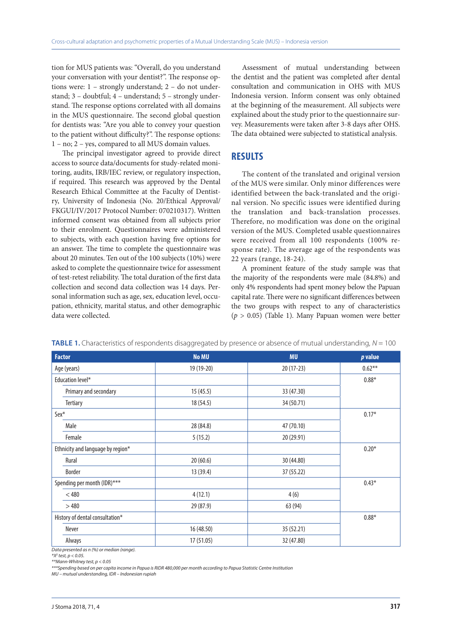tion for MUS patients was: "Overall, do you understand your conversation with your dentist?". The response options were: 1 – strongly understand; 2 – do not understand; 3 – doubtful; 4 – understand; 5 – strongly understand. The response options correlated with all domains in the MUS questionnaire. The second global question for dentists was: "Are you able to convey your question to the patient without difficulty?". The response options: 1 – no; 2 – yes, compared to all MUS domain values.

The principal investigator agreed to provide direct access to source data/documents for study-related monitoring, audits, IRB/IEC review, or regulatory inspection, if required. This research was approved by the Dental Research Ethical Committee at the Faculty of Dentistry, University of Indonesia (No. 20/Ethical Approval/ FKGUI/IV/2017 Protocol Number: 070210317). Written informed consent was obtained from all subjects prior to their enrolment. Questionnaires were administered to subjects, with each question having five options for an answer. The time to complete the questionnaire was about 20 minutes. Ten out of the 100 subjects (10%) were asked to complete the questionnaire twice for assessment of test-retest reliability. The total duration of the first data collection and second data collection was 14 days. Personal information such as age, sex, education level, occupation, ethnicity, marital status, and other demographic data were collected.

Assessment of mutual understanding between the dentist and the patient was completed after dental consultation and communication in OHS with MUS Indonesia version. Inform consent was only obtained at the beginning of the measurement. All subjects were explained about the study prior to the questionnaire survey. Measurements were taken after 3-8 days after OHS. The data obtained were subjected to statistical analysis.

### **RESULTS**

The content of the translated and original version of the MUS were similar. Only minor differences were identified between the back-translated and the original version. No specific issues were identified during the translation and back-translation processes. Therefore, no modification was done on the original version of the MUS. Completed usable questionnaires were received from all 100 respondents (100% response rate). The average age of the respondents was 22 years (range, 18-24).

A prominent feature of the study sample was that the majority of the respondents were male (84.8%) and only 4% respondents had spent money below the Papuan capital rate. There were no significant differences between the two groups with respect to any of characteristics (*p* > 0.05) (Table 1). Many Papuan women were better

| <b>Factor</b>                     | <b>No MU</b> | <b>MU</b>   | p value   |
|-----------------------------------|--------------|-------------|-----------|
| Age (years)                       | 19 (19-20)   | $20(17-23)$ | $0.62***$ |
| Education level*                  |              |             | $0.88*$   |
| Primary and secondary             | 15(45.5)     | 33 (47.30)  |           |
| <b>Tertiary</b>                   | 18 (54.5)    | 34 (50.71)  |           |
| Sex*                              |              |             | $0.17*$   |
| Male                              | 28 (84.8)    | 47 (70.10)  |           |
| Female                            | 5(15.2)      | 20 (29.91)  |           |
| Ethnicity and language by region* |              |             | $0.20*$   |
| Rural                             | 20(60.6)     | 30 (44.80)  |           |
| <b>Border</b>                     | 13 (39.4)    | 37 (55.22)  |           |
| Spending per month (IDR)***       |              |             | $0.43*$   |
| $<$ 480                           | 4(12.1)      | 4(6)        |           |
| >480                              | 29 (87.9)    | 63 (94)     |           |
| History of dental consultation*   |              |             | $0.88*$   |
| Never                             | 16 (48.50)   | 35 (52.21)  |           |
| Always                            | 17 (51.05)   | 32 (47.80)  |           |

**TABLE 1.** Characteristics of respondents disaggregated by presence or absence of mutual understanding, N = 100

*Data presented as n (%) or median (range).* 

*\*Χ2 test, p < 0.05.* 

*\*\*Mann-Whitney test, p < 0.05*

*\*\*\*Spending based on per capita income in Papua is RIDR 480,000 per month according to Papua Statistic Centre Institution*

*MU – mutual understanding, IDR – Indonesian rupiah*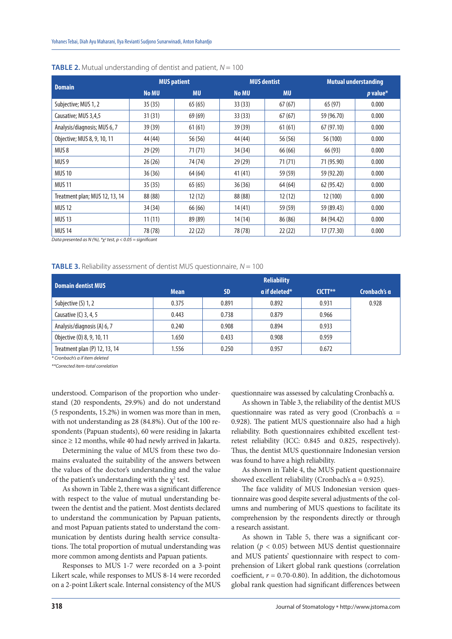|                                | <b>MUS patient</b> |           | <b>MUS dentist</b> |           | <b>Mutual understanding</b> |            |
|--------------------------------|--------------------|-----------|--------------------|-----------|-----------------------------|------------|
| <b>Domain</b>                  | <b>No MU</b>       | <b>MU</b> | <b>No MU</b>       | <b>MU</b> |                             | $p$ value* |
| Subjective; MUS 1, 2           | 35(35)             | 65(65)    | 33(33)             | 67(67)    | 65 (97)                     | 0.000      |
| Causative; MUS 3,4,5           | 31(31)             | 69 (69)   | 33(33)             | 67(67)    | 59 (96.70)                  | 0.000      |
| Analysis/diagnosis; MUS 6, 7   | 39 (39)            | 61(61)    | 39 (39)            | 61(61)    | 67 (97.10)                  | 0.000      |
| Objective; MUS 8, 9, 10, 11    | 44 (44)            | 56 (56)   | 44 (44)            | 56 (56)   | 56 (100)                    | 0.000      |
| MUS <sub>8</sub>               | 29(29)             | 71(71)    | 34(34)             | 66 (66)   | 66 (93)                     | 0.000      |
| MUS <sub>9</sub>               | 26(26)             | 74 (74)   | 29(29)             | 71(71)    | 71 (95.90)                  | 0.000      |
| <b>MUS 10</b>                  | 36(36)             | 64 (64)   | 41(41)             | 59 (59)   | 59 (92.20)                  | 0.000      |
| <b>MUS 11</b>                  | 35(35)             | 65(65)    | 36(36)             | 64(64)    | 62 (95.42)                  | 0.000      |
| Treatment plan; MUS 12, 13, 14 | 88 (88)            | 12(12)    | 88 (88)            | 12(12)    | 12 (100)                    | 0.000      |
| <b>MUS 12</b>                  | 34 (34)            | 66 (66)   | 14(41)             | 59 (59)   | 59 (89.43)                  | 0.000      |
| <b>MUS 13</b>                  | 11(11)             | 89 (89)   | 14(14)             | 86 (86)   | 84 (94.42)                  | 0.000      |
| <b>MUS 14</b>                  | 78 (78)            | 22(22)    | 78 (78)            | 22(22)    | 17(77.30)                   | 0.000      |

#### **TABLE 2.** Mutual understanding of dentist and patient,  $N = 100$

*Data presented as N (%), \*χ2 test, p < 0.05 = significant* 

#### **TABLE 3.** Reliability assessment of dentist MUS questionnaire,  $N = 100$

| <b>Domain dentist MUS</b>     | <b>Reliability</b> |           |                      |           |              |  |
|-------------------------------|--------------------|-----------|----------------------|-----------|--------------|--|
|                               | <b>Mean</b>        | <b>SD</b> | $\alpha$ if deleted* | $CICTT**$ | Cronbach's a |  |
| Subjective (S) 1, 2           | 0.375              | 0.891     | 0.892                | 0.931     | 0.928        |  |
| Causative $(C)$ 3, 4, 5       | 0.443              | 0.738     | 0.879                | 0.966     |              |  |
| Analysis/diagnosis (A) 6, 7   | 0.240              | 0.908     | 0.894                | 0.933     |              |  |
| Objective (0) 8, 9, 10, 11    | 1.650              | 0.433     | 0.908                | 0.959     |              |  |
| Treatment plan (P) 12, 13, 14 | 1.556              | 0.250     | 0.957                | 0.672     |              |  |

*\* Cronbach's α if item deleted*

*\*\*Corrected item-total correlation*

understood. Comparison of the proportion who understand (20 respondents, 29.9%) and do not understand (5 respondents, 15.2%) in women was more than in men, with not understanding as 28 (84.8%). Out of the 100 respondents (Papuan students), 60 were residing in Jakarta since  $\geq$  12 months, while 40 had newly arrived in Jakarta.

Determining the value of MUS from these two domains evaluated the suitability of the answers between the values of the doctor's understanding and the value of the patient's understanding with the  $\chi^2$  test.

As shown in Table 2, there was a significant difference with respect to the value of mutual understanding between the dentist and the patient. Most dentists declared to understand the communication by Papuan patients, and most Papuan patients stated to understand the communication by dentists during health service consultations. The total proportion of mutual understanding was more common among dentists and Papuan patients.

Responses to MUS 1-7 were recorded on a 3-point Likert scale, while responses to MUS 8-14 were recorded on a 2-point Likert scale. Internal consistency of the MUS questionnaire was assessed by calculating Cronbach's α.

As shown in Table 3, the reliability of the dentist MUS questionnaire was rated as very good (Cronbach's α = 0.928). The patient MUS questionnaire also had a high reliability. Both questionnaires exhibited excellent testretest reliability (ICC: 0.845 and 0.825, respectively). Thus, the dentist MUS questionnaire Indonesian version was found to have a high reliability.

As shown in Table 4, the MUS patient questionnaire showed excellent reliability (Cronbach's  $\alpha$  = 0.925).

The face validity of MUS Indonesian version questionnaire was good despite several adjustments of the columns and numbering of MUS questions to facilitate its comprehension by the respondents directly or through a research assistant.

As shown in Table 5, there was a significant correlation ( $p < 0.05$ ) between MUS dentist questionnaire and MUS patients' questionnaire with respect to comprehension of Likert global rank questions (correlation coefficient,  $r = 0.70$ -0.80). In addition, the dichotomous global rank question had significant differences between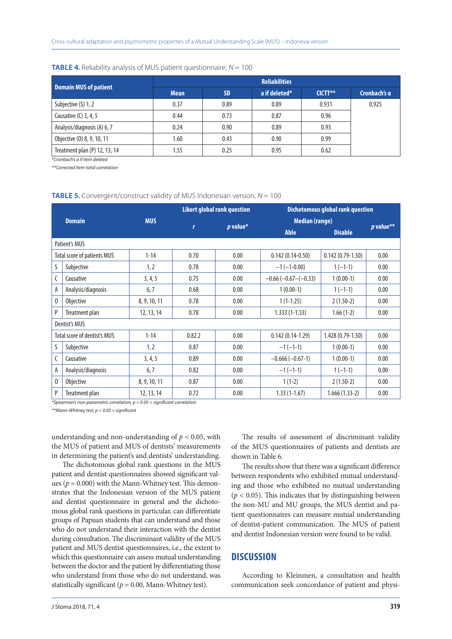|                               | <b>Reliabilities</b> |           |               |           |              |  |  |
|-------------------------------|----------------------|-----------|---------------|-----------|--------------|--|--|
| <b>Domain MUS of patient</b>  | <b>Mean</b>          | <b>SD</b> | a if deleted* | $CICTT**$ | Cronbach's a |  |  |
| Subjective (S) 1, 2           | 0.37                 | 0.89      | 0.89          | 0.931     | 0.925        |  |  |
| Causative $(C)$ 3, 4, 5       | 0.44                 | 0.73      | 0.87          | 0.96      |              |  |  |
| Analysis/diagnosis (A) 6, 7   | 0.24                 | 0.90      | 0.89          | 0.93      |              |  |  |
| Objective (0) 8, 9, 10, 11    | 1.60                 | 0.43      | 0.90          | 0.99      |              |  |  |
| Treatment plan (P) 12, 13, 14 | 1.55                 | 0.25      | 0.95          | 0.62      |              |  |  |

#### **TABLE 4.** Reliability analysis of MUS patient questionnaire,  $N = 100$

*\*Cronbach's α if item deleted*

*\*\*Corrected item-total correlation* 

#### **TABLE 5.** Convergent/construct validity of MUS Indonesian version, N = 100

| <b>Domain</b> |                              |              | <b>Likert global rank question</b> |      | <b>Dichotomous global rank question</b> |                    |             |
|---------------|------------------------------|--------------|------------------------------------|------|-----------------------------------------|--------------------|-------------|
|               |                              | <b>MUS</b>   |                                    |      | <b>Median (range)</b>                   |                    |             |
|               |                              |              | $p$ value*<br>$\mathbf{r}$         |      | <b>Able</b>                             | <b>Disable</b>     | $p$ value** |
|               | Patient's MUS                |              |                                    |      |                                         |                    |             |
|               | Total score of patients MUS  | $1 - 14$     | 0.70                               | 0.00 | $0.142(0.14-0.50)$                      | $0.142(0.79-1.50)$ | 0.00        |
| S             | Subjective                   | 1, 2         | 0.78                               | 0.00 | $-1(-1-0.00)$                           | $1(-1-1)$          | 0.00        |
|               | Causative                    | 3, 4, 5      | 0.75                               | 0.00 | $-0.66$ ( $-0.67$ –( $-0.33$ )          | $1(0.00-1)$        | 0.00        |
| A             | Analysis/diagnosis           | 6,7          | 0.68                               | 0.00 | $1(0.00-1)$                             | $1(-1-1)$          | 0.00        |
| $\mathbf{0}$  | <b>Objective</b>             | 8, 9, 10, 11 | 0.78                               | 0.00 | $1(1-1.25)$                             | $2(1.50-2)$        | 0.00        |
| P             | Treatment plan               | 12, 13, 14   | 0.78                               | 0.00 | $1.333(1-1.33)$                         | $1.66(1-2)$        | 0.00        |
|               | Dentist's MUS                |              |                                    |      |                                         |                    |             |
|               | Total score of dentist's MUS | $1 - 14$     | 0.822                              | 0.00 | $0.142(0.14-1.29)$                      | 1.428 (0.79-1.50)  | 0.00        |
| S             | Subjective                   | 1, 2         | 0.87                               | 0.00 | $-1(-1-1)$                              | $1(0.00-1)$        | 0.00        |
|               | Causative                    | 3, 4, 5      | 0.89                               | 0.00 | $-0.666(-0.67-1)$                       | $1(0.00-1)$        | 0.00        |
| A             | Analysis/diagnosis           | 6,7          | 0.82                               | 0.00 | $-1(-1-1)$                              | $1(-1-1)$          | 0.00        |
| $\mathbf{0}$  | <b>Objective</b>             | 8, 9, 10, 11 | 0.87                               | 0.00 | $1(1-2)$                                | $2(1.50-2)$        | 0.00        |
| P             | Treatment plan               | 12, 13, 14   | 0.72                               | 0.00 | $1.33(1-1.67)$                          | $1.666(1.33-2)$    | 0.00        |

*\*Spearman's non-parametric correlation, p < 0.05 = significant correlation*

*\*\*Mann-Whitney test, p < 0.05 = significant* 

understanding and non-understanding of  $p < 0.05$ , with the MUS of patient and MUS of dentists' measurements in determining the patient's and dentists' understanding.

The dichotomous global rank questions in the MUS patient and dentist questionnaires showed significant values ( $p = 0.000$ ) with the Mann-Whitney test. This demonstrates that the Indonesian version of the MUS patient and dentist questionnaire in general and the dichotomous global rank questions in particular, can differentiate groups of Papuan students that can understand and those who do not understand their interaction with the dentist during consultation. The discriminant validity of the MUS patient and MUS dentist questionnaires, i.e., the extent to which this questionnaire can assess mutual understanding between the doctor and the patient by differentiating those who understand from those who do not understand, was statistically significant ( $p = 0.00$ , Mann-Whitney test).

The results of assessment of discriminant validity of the MUS questionnaires of patients and dentists are shown in Table 6.

The results show that there was a significant difference between respondents who exhibited mutual understanding and those who exhibited no mutual understanding  $(p < 0.05)$ . This indicates that by distinguishing between the non-MU and MU groups, the MUS dentist and patient questionnaires can measure mutual understanding of dentist-patient communication. The MUS of patient and dentist Indonesian version were found to be valid.

## **DISCUSSION**

According to Kleinmen, a consultation and health communication seek concordance of patient and physi-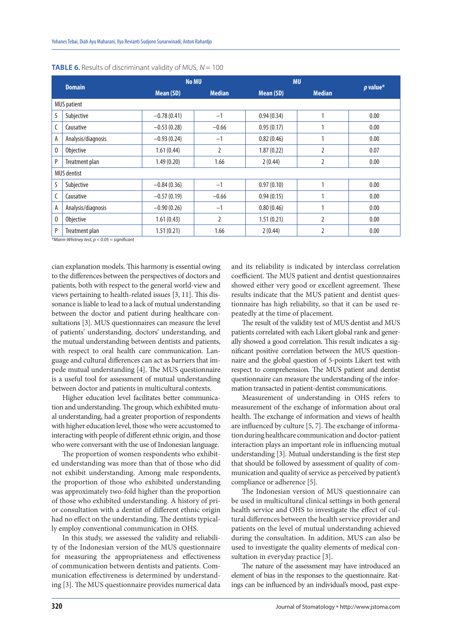|                    |                    |               | <b>No MU</b>  |            | <b>MU</b>      |            |  |
|--------------------|--------------------|---------------|---------------|------------|----------------|------------|--|
|                    | <b>Domain</b>      | Mean (SD)     | <b>Median</b> | Mean (SD)  | <b>Median</b>  | $p$ value* |  |
|                    | <b>MUS</b> patient |               |               |            |                |            |  |
| S                  | Subjective         | $-0.78(0.41)$ | $-1$          | 0.94(0.34) |                | 0.00       |  |
|                    | Causative          | $-0.53(0.28)$ | $-0.66$       | 0.95(0.17) |                | 0.00       |  |
| A                  | Analysis/diagnosis | $-0.93(0.24)$ | $-1$          | 0.82(0.46) |                | 0.00       |  |
| 0                  | Objective          | 1.61(0.44)    | 2             | 1.87(0.22) | 2              | 0.07       |  |
| P                  | Treatment plan     | 1.49(0.20)    | 1.66          | 2(0.44)    | 2              | 0.00       |  |
| <b>MUS</b> dentist |                    |               |               |            |                |            |  |
|                    | Subjective         | $-0.84(0.36)$ | $-1$          | 0.97(0.10) |                | 0.00       |  |
|                    | Causative          | $-0.57(0.19)$ | $-0.66$       | 0.94(0.15) |                | 0.00       |  |
| А                  | Analysis/diagnosis | $-0.90(0.26)$ | $-1$          | 0.80(0.46) | 1              | 0.00       |  |
| 0                  | Objective          | 1.61(0.43)    | 2             | 1.51(0.21) | $\overline{2}$ | 0.00       |  |
| P                  | Treatment plan     | 1.51(0.21)    | 1.66          | 2(0.44)    | 2              | 0.00       |  |

| <b>TABLE 6.</b> Results of discriminant validity of MUS, $N = 100$ |  |
|--------------------------------------------------------------------|--|
|--------------------------------------------------------------------|--|

 $nn-Whitney test, p < 0.05 = sign$ 

cian explanation models. This harmony is essential owing to the differences between the perspectives of doctors and patients, both with respect to the general world-view and views pertaining to health-related issues [3, 11]. This dissonance is liable to lead to a lack of mutual understanding between the doctor and patient during healthcare consultations [3]. MUS questionnaires can measure the level of patients' understanding, doctors' understanding, and the mutual understanding between dentists and patients, with respect to oral health care communication. Language and cultural differences can act as barriers that impede mutual understanding [4]. The MUS questionnaire is a useful tool for assessment of mutual understanding between doctor and patients in multicultural contexts.

Higher education level facilitates better communication and understanding. The group, which exhibited mutual understanding, had a greater proportion of respondents with higher education level, those who were accustomed to interacting with people of different ethnic origin, and those who were conversant with the use of Indonesian language.

The proportion of women respondents who exhibited understanding was more than that of those who did not exhibit understanding. Among male respondents, the proportion of those who exhibited understanding was approximately two-fold higher than the proportion of those who exhibited understanding. A history of prior consultation with a dentist of different ethnic origin had no effect on the understanding. The dentists typically employ conventional communication in OHS.

In this study, we assessed the validity and reliability of the Indonesian version of the MUS questionnaire for measuring the appropriateness and effectiveness of communication between dentists and patients. Communication effectiveness is determined by understanding [3]. The MUS questionnaire provides numerical data and its reliability is indicated by interclass correlation coefficient. The MUS patient and dentist questionnaires showed either very good or excellent agreement. These results indicate that the MUS patient and dentist questionnaire has high reliability, so that it can be used repeatedly at the time of placement.

The result of the validity test of MUS dentist and MUS patients correlated with each Likert global rank and generally showed a good correlation. This result indicates a significant positive correlation between the MUS questionnaire and the global question of 5-points Likert test with respect to comprehension. The MUS patient and dentist questionnaire can measure the understanding of the information transacted in patient-dentist communications.

Measurement of understanding in OHS refers to measurement of the exchange of information about oral health. The exchange of information and views of health are influenced by culture [5, 7]. The exchange of information during healthcare communication and doctor-patient interaction plays an important role in influencing mutual understanding [3]. Mutual understanding is the first step that should be followed by assessment of quality of communication and quality of service as perceived by patient's compliance or adherence [5].

The Indonesian version of MUS questionnaire can be used in multicultural clinical settings in both general health service and OHS to investigate the effect of cultural differences between the health service provider and patients on the level of mutual understanding achieved during the consultation. In addition, MUS can also be used to investigate the quality elements of medical consultation in everyday practice [3].

The nature of the assessment may have introduced an element of bias in the responses to the questionnaire. Ratings can be influenced by an individual's mood, past expe